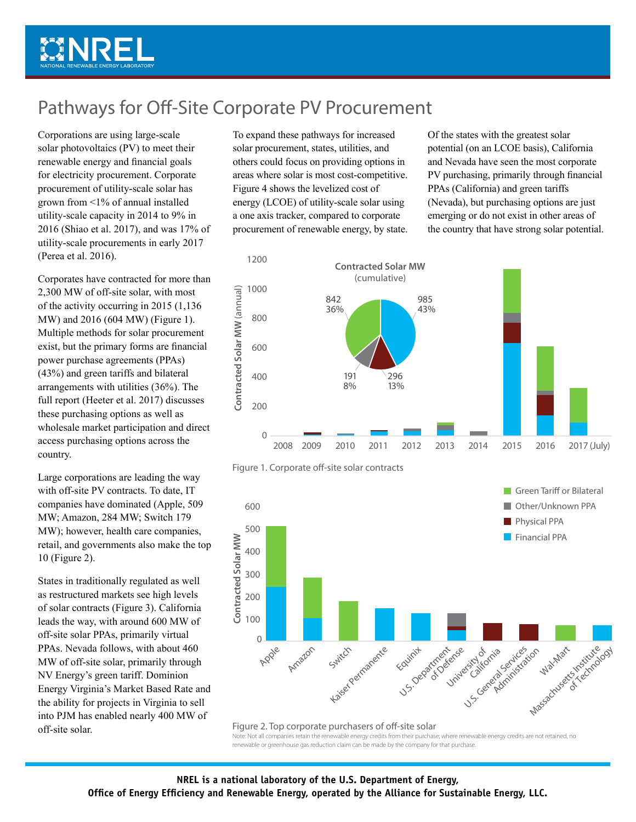

## Pathways for Off-Site Corporate PV Procurement

Corporations are using large-scale solar photovoltaics (PV) to meet their renewable energy and financial goals for electricity procurement. Corporate procurement of utility-scale solar has grown from <1% of annual installed utility-scale capacity in 2014 to 9% in 2016 (Shiao et al. 2017), and was 17% of utility-scale procurements in early 2017 (Perea et al. 2016).

Corporates have contracted for more than 2,300 MW of off-site solar, with most of the activity occurring in 2015 (1,136 MW) and 2016 (604 MW) (Figure 1). Multiple methods for solar procurement exist, but the primary forms are financial power purchase agreements (PPAs) (43%) and green tariffs and bilateral arrangements with utilities (36%). The full report (Heeter et al. 2017) discusses these purchasing options as well as wholesale market participation and direct access purchasing options across the country.

Large corporations are leading the way with off-site PV contracts. To date, IT companies have dominated (Apple, 509 MW; Amazon, 284 MW; Switch 179 MW); however, health care companies, retail, and governments also make the top 10 (Figure 2).

States in traditionally regulated as well as restructured markets see high levels of solar contracts (Figure 3). California leads the way, with around 600 MW of off-site solar PPAs, primarily virtual PPAs. Nevada follows, with about 460 MW of off-site solar, primarily through NV Energy's green tariff. Dominion Energy Virginia's Market Based Rate and the ability for projects in Virginia to sell into PJM has enabled nearly 400 MW of off-site solar.

To expand these pathways for increased solar procurement, states, utilities, and others could focus on providing options in areas where solar is most cost-competitive. Figure 4 shows the levelized cost of energy (LCOE) of utility-scale solar using a one axis tracker, compared to corporate procurement of renewable energy, by state. Of the states with the greatest solar potential (on an LCOE basis), California and Nevada have seen the most corporate PV purchasing, primarily through financial PPAs (California) and green tariffs (Nevada), but purchasing options are just emerging or do not exist in other areas of the country that have strong solar potential.







Figure 2. Top corporate purchasers of off-site solar Note: Not all companies retain the renewable energy credits from their purchase; where renewable energy credits are not retained, no renewable or greenhouse gas reduction claim can be made by the company for that purchase